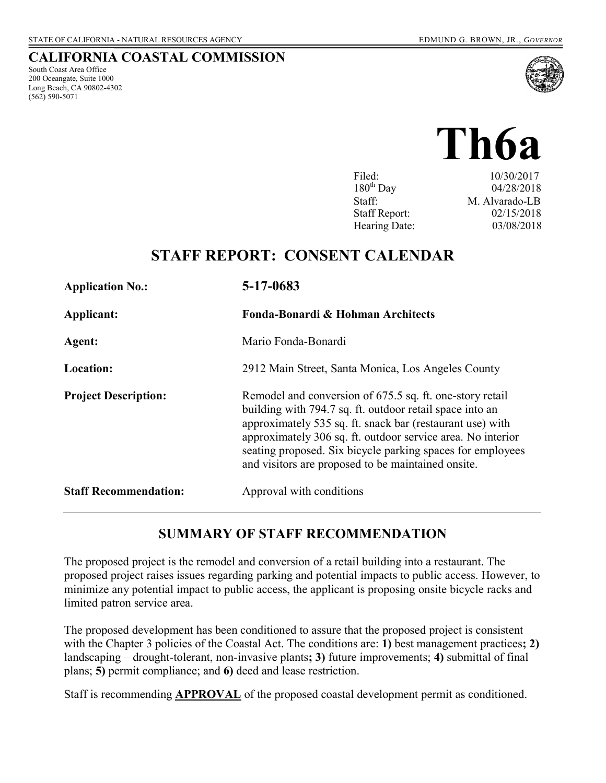South Coast Area Office 200 Oceangate, Suite 1000 Long Beach, CA 90802-4302

(562) 590-5071

**CALIFORNIA COASTAL COMMISSION** 

# **Th6a**

| Filed:               | 10/30/2017     |
|----------------------|----------------|
| $180^{th}$ Day       | 04/28/2018     |
| Staff:               | M. Alvarado-LB |
| <b>Staff Report:</b> | 02/15/2018     |
| Hearing Date:        | 03/08/2018     |

# **STAFF REPORT: CONSENT CALENDAR**

| <b>Application No.:</b>      | 5-17-0683                                                                                                                                                                                                                                                                                                                                                            |
|------------------------------|----------------------------------------------------------------------------------------------------------------------------------------------------------------------------------------------------------------------------------------------------------------------------------------------------------------------------------------------------------------------|
| Applicant:                   | Fonda-Bonardi & Hohman Architects                                                                                                                                                                                                                                                                                                                                    |
| Agent:                       | Mario Fonda-Bonardi                                                                                                                                                                                                                                                                                                                                                  |
| <b>Location:</b>             | 2912 Main Street, Santa Monica, Los Angeles County                                                                                                                                                                                                                                                                                                                   |
| <b>Project Description:</b>  | Remodel and conversion of 675.5 sq. ft. one-story retail<br>building with 794.7 sq. ft. outdoor retail space into an<br>approximately 535 sq. ft. snack bar (restaurant use) with<br>approximately 306 sq. ft. outdoor service area. No interior<br>seating proposed. Six bicycle parking spaces for employees<br>and visitors are proposed to be maintained onsite. |
| <b>Staff Recommendation:</b> | Approval with conditions                                                                                                                                                                                                                                                                                                                                             |

#### **SUMMARY OF STAFF RECOMMENDATION**

The proposed project is the remodel and conversion of a retail building into a restaurant. The proposed project raises issues regarding parking and potential impacts to public access. However, to minimize any potential impact to public access, the applicant is proposing onsite bicycle racks and limited patron service area.

The proposed development has been conditioned to assure that the proposed project is consistent with the Chapter 3 policies of the Coastal Act. The conditions are: 1) best management practices; 2) landscaping – drought-tolerant, non-invasive plants**; 3)** future improvements; **4)** submittal of final plans; **5)** permit compliance; and **6)** deed and lease restriction.

Staff is recommending **APPROVAL** of the proposed coastal development permit as conditioned.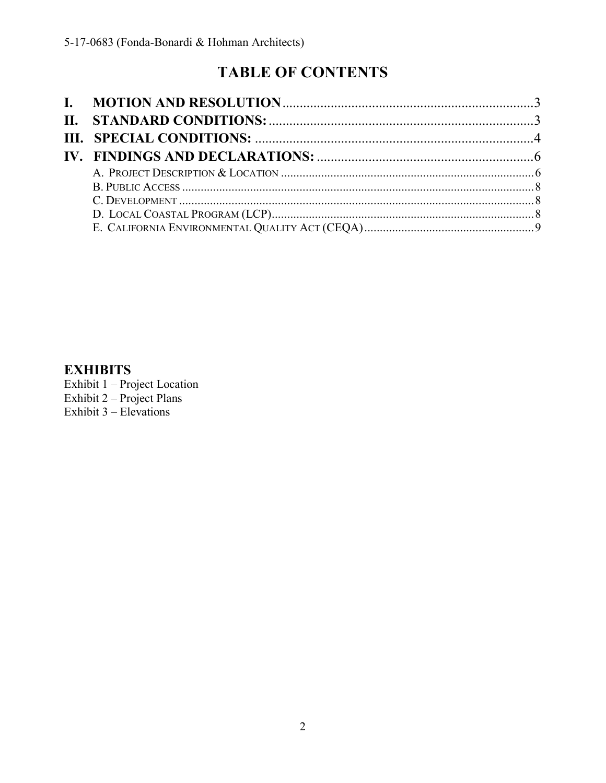# **TABLE OF CONTENTS**

### **EXHIBITS**

Exhibit  $1 -$ Project Location<br>Exhibit  $2 -$ Project Plans Exhibit  $3 - E$  Elevations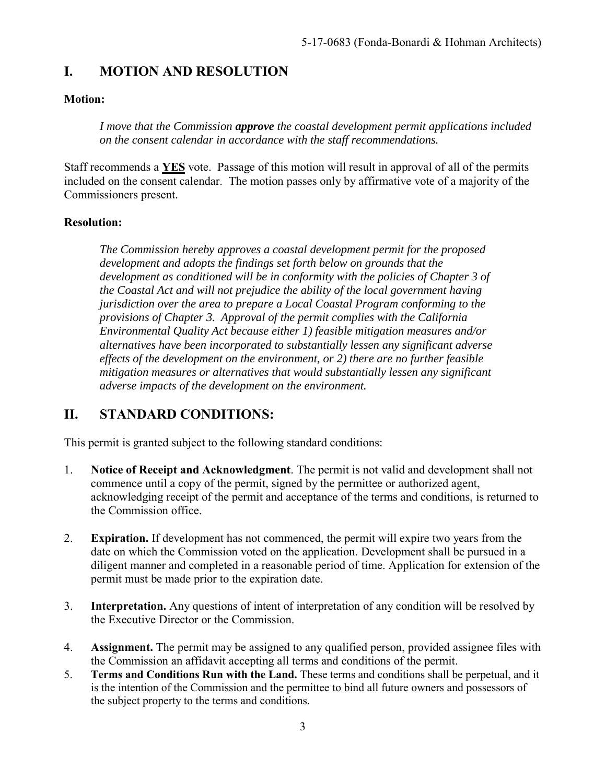# <span id="page-2-0"></span>**I. MOTION AND RESOLUTION**

#### **Motion:**

*I move that the Commission approve the coastal development permit applications included on the consent calendar in accordance with the staff recommendations.*

Staff recommends a **YES** vote. Passage of this motion will result in approval of all of the permits included on the consent calendar. The motion passes only by affirmative vote of a majority of the Commissioners present.

#### **Resolution:**

*The Commission hereby approves a coastal development permit for the proposed development and adopts the findings set forth below on grounds that the development as conditioned will be in conformity with the policies of Chapter 3 of the Coastal Act and will not prejudice the ability of the local government having jurisdiction over the area to prepare a Local Coastal Program conforming to the provisions of Chapter 3. Approval of the permit complies with the California Environmental Quality Act because either 1) feasible mitigation measures and/or alternatives have been incorporated to substantially lessen any significant adverse effects of the development on the environment, or 2) there are no further feasible mitigation measures or alternatives that would substantially lessen any significant adverse impacts of the development on the environment.* 

## <span id="page-2-1"></span>**II. STANDARD CONDITIONS:**

This permit is granted subject to the following standard conditions:

- 1. **Notice of Receipt and Acknowledgment**. The permit is not valid and development shall not commence until a copy of the permit, signed by the permittee or authorized agent, acknowledging receipt of the permit and acceptance of the terms and conditions, is returned to the Commission office.
- 2. **Expiration.** If development has not commenced, the permit will expire two years from the date on which the Commission voted on the application. Development shall be pursued in a diligent manner and completed in a reasonable period of time. Application for extension of the permit must be made prior to the expiration date.
- 3. **Interpretation.** Any questions of intent of interpretation of any condition will be resolved by the Executive Director or the Commission.
- 4. **Assignment.** The permit may be assigned to any qualified person, provided assignee files with the Commission an affidavit accepting all terms and conditions of the permit.
- 5. **Terms and Conditions Run with the Land.** These terms and conditions shall be perpetual, and it is the intention of the Commission and the permittee to bind all future owners and possessors of the subject property to the terms and conditions.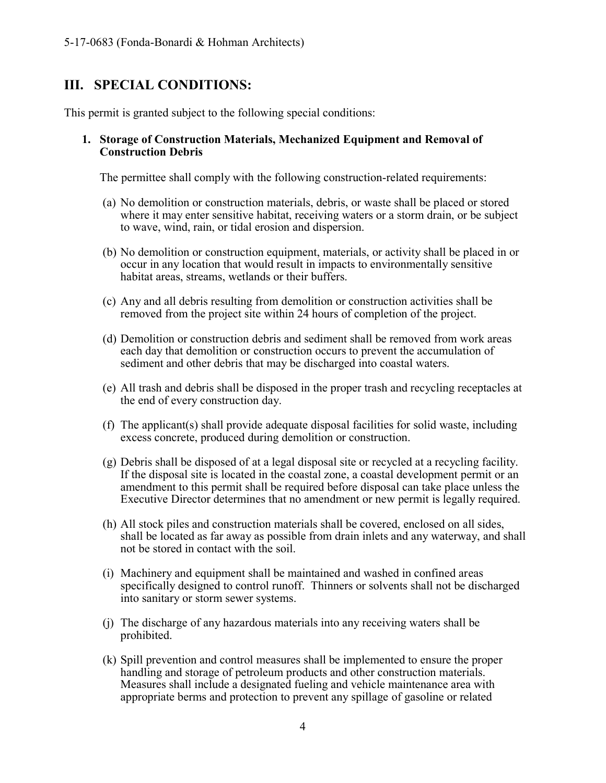#### <span id="page-3-0"></span>**III. SPECIAL CONDITIONS:**

This permit is granted subject to the following special conditions:

#### **1. Storage of Construction Materials, Mechanized Equipment and Removal of Construction Debris**

The permittee shall comply with the following construction-related requirements:

- (a) No demolition or construction materials, debris, or waste shall be placed or stored where it may enter sensitive habitat, receiving waters or a storm drain, or be subject to wave, wind, rain, or tidal erosion and dispersion.
- (b) No demolition or construction equipment, materials, or activity shall be placed in or occur in any location that would result in impacts to environmentally sensitive habitat areas, streams, wetlands or their buffers.
- (c) Any and all debris resulting from demolition or construction activities shall be removed from the project site within 24 hours of completion of the project.
- (d) Demolition or construction debris and sediment shall be removed from work areas each day that demolition or construction occurs to prevent the accumulation of sediment and other debris that may be discharged into coastal waters.
- (e) All trash and debris shall be disposed in the proper trash and recycling receptacles at the end of every construction day.
- (f) The applicant(s) shall provide adequate disposal facilities for solid waste, including excess concrete, produced during demolition or construction.
- (g) Debris shall be disposed of at a legal disposal site or recycled at a recycling facility. If the disposal site is located in the coastal zone, a coastal development permit or an amendment to this permit shall be required before disposal can take place unless the Executive Director determines that no amendment or new permit is legally required.
- (h) All stock piles and construction materials shall be covered, enclosed on all sides, shall be located as far away as possible from drain inlets and any waterway, and shall not be stored in contact with the soil.
- (i) Machinery and equipment shall be maintained and washed in confined areas specifically designed to control runoff. Thinners or solvents shall not be discharged into sanitary or storm sewer systems.
- (j) The discharge of any hazardous materials into any receiving waters shall be prohibited.
- (k) Spill prevention and control measures shall be implemented to ensure the proper handling and storage of petroleum products and other construction materials. Measures shall include a designated fueling and vehicle maintenance area with appropriate berms and protection to prevent any spillage of gasoline or related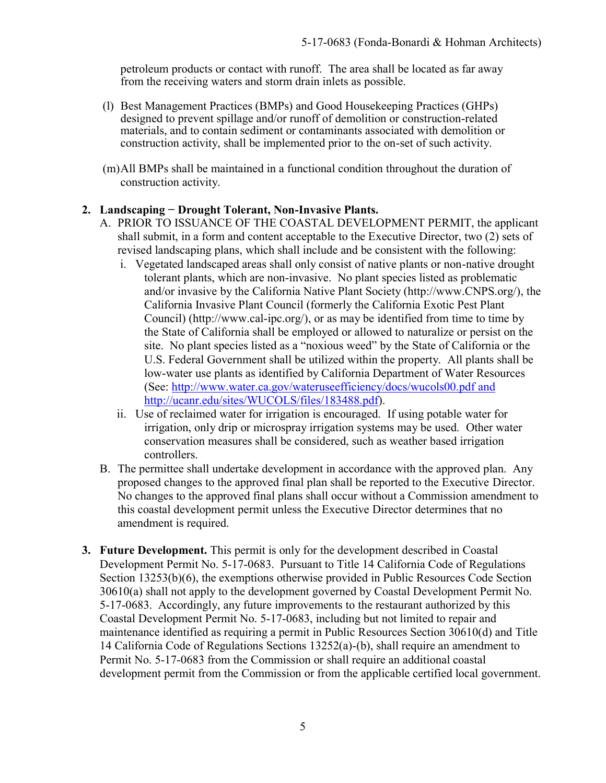petroleum products or contact with runoff. The area shall be located as far away from the receiving waters and storm drain inlets as possible.

- (l) Best Management Practices (BMPs) and Good Housekeeping Practices (GHPs) designed to prevent spillage and/or runoff of demolition or construction-related materials, and to contain sediment or contaminants associated with demolition or construction activity, shall be implemented prior to the on-set of such activity.
- (m)All BMPs shall be maintained in a functional condition throughout the duration of construction activity.

#### **2. Landscaping − Drought Tolerant, Non-Invasive Plants.**

- A. PRIOR TO ISSUANCE OF THE COASTAL DEVELOPMENT PERMIT, the applicant shall submit, in a form and content acceptable to the Executive Director, two (2) sets of revised landscaping plans, which shall include and be consistent with the following:
	- i. Vegetated landscaped areas shall only consist of native plants or non-native drought tolerant plants, which are non-invasive. No plant species listed as problematic and/or invasive by the California Native Plant Society (http://www.CNPS.org/), the California Invasive Plant Council (formerly the California Exotic Pest Plant Council) (http://www.cal-ipc.org/), or as may be identified from time to time by the State of California shall be employed or allowed to naturalize or persist on the site. No plant species listed as a "noxious weed" by the State of California or the U.S. Federal Government shall be utilized within the property. All plants shall be low-water use plants as identified by California Department of Water Resources (See:<http://www.water.ca.gov/wateruseefficiency/docs/wucols00.pdf> and [http://ucanr.edu/sites/WUCOLS/files/183488.pdf\)](http://ucanr.edu/sites/WUCOLS/files/183488.pdf).
	- ii. Use of reclaimed water for irrigation is encouraged. If using potable water for irrigation, only drip or microspray irrigation systems may be used. Other water conservation measures shall be considered, such as weather based irrigation controllers.
- B. The permittee shall undertake development in accordance with the approved plan. Any proposed changes to the approved final plan shall be reported to the Executive Director. No changes to the approved final plans shall occur without a Commission amendment to this coastal development permit unless the Executive Director determines that no amendment is required.
- **3. Future Development.** This permit is only for the development described in Coastal Development Permit No. 5-17-0683. Pursuant to Title 14 California Code of Regulations Section 13253(b)(6), the exemptions otherwise provided in Public Resources Code Section 30610(a) shall not apply to the development governed by Coastal Development Permit No. 5-17-0683. Accordingly, any future improvements to the restaurant authorized by this Coastal Development Permit No. 5-17-0683, including but not limited to repair and maintenance identified as requiring a permit in Public Resources Section 30610(d) and Title 14 California Code of Regulations Sections 13252(a)-(b), shall require an amendment to Permit No. 5-17-0683 from the Commission or shall require an additional coastal development permit from the Commission or from the applicable certified local government.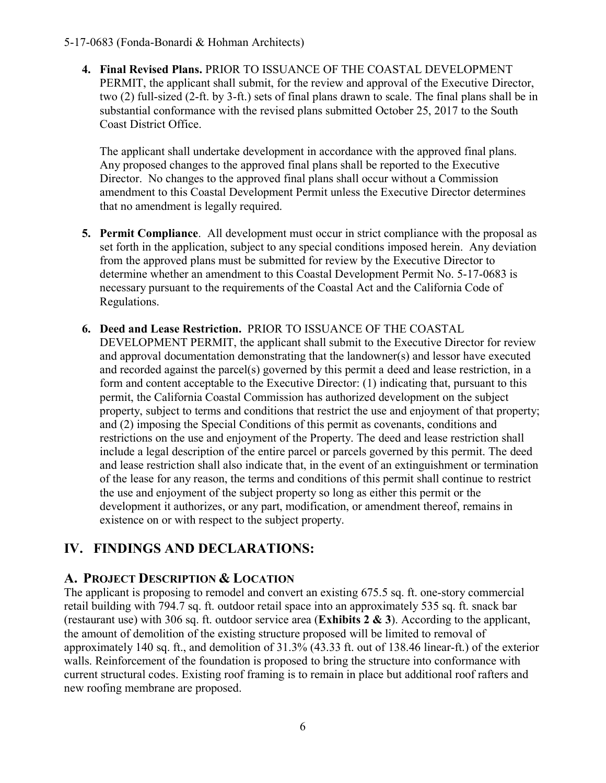**4. Final Revised Plans.** PRIOR TO ISSUANCE OF THE COASTAL DEVELOPMENT PERMIT, the applicant shall submit, for the review and approval of the Executive Director, two (2) full-sized (2-ft. by 3-ft.) sets of final plans drawn to scale. The final plans shall be in substantial conformance with the revised plans submitted October 25, 2017 to the South Coast District Office.

The applicant shall undertake development in accordance with the approved final plans. Any proposed changes to the approved final plans shall be reported to the Executive Director. No changes to the approved final plans shall occur without a Commission amendment to this Coastal Development Permit unless the Executive Director determines that no amendment is legally required.

- **5. Permit Compliance**. All development must occur in strict compliance with the proposal as set forth in the application, subject to any special conditions imposed herein. Any deviation from the approved plans must be submitted for review by the Executive Director to determine whether an amendment to this Coastal Development Permit No. 5-17-0683 is necessary pursuant to the requirements of the Coastal Act and the California Code of Regulations.
- **6. Deed and Lease Restriction.** PRIOR TO ISSUANCE OF THE COASTAL DEVELOPMENT PERMIT, the applicant shall submit to the Executive Director for review and approval documentation demonstrating that the landowner(s) and lessor have executed and recorded against the parcel(s) governed by this permit a deed and lease restriction, in a form and content acceptable to the Executive Director: (1) indicating that, pursuant to this permit, the California Coastal Commission has authorized development on the subject property, subject to terms and conditions that restrict the use and enjoyment of that property; and (2) imposing the Special Conditions of this permit as covenants, conditions and restrictions on the use and enjoyment of the Property. The deed and lease restriction shall include a legal description of the entire parcel or parcels governed by this permit. The deed and lease restriction shall also indicate that, in the event of an extinguishment or termination of the lease for any reason, the terms and conditions of this permit shall continue to restrict the use and enjoyment of the subject property so long as either this permit or the development it authorizes, or any part, modification, or amendment thereof, remains in existence on or with respect to the subject property.

# <span id="page-5-0"></span>**IV. FINDINGS AND DECLARATIONS:**

# <span id="page-5-1"></span>**A. PROJECT DESCRIPTION & LOCATION**

The applicant is proposing to remodel and convert an existing 675.5 sq. ft. one-story commercial retail building with 794.7 sq. ft. outdoor retail space into an approximately 535 sq. ft. snack bar (restaurant use) with 306 sq. ft. outdoor service area (**[Exhibits 2 & 3](https://documents.coastal.ca.gov/reports/2018/3/th6a/th6a-3-2018-exhibits.pdf)**). According to the applicant, the amount of demolition of the existing structure proposed will be limited to removal of approximately 140 sq. ft., and demolition of 31.3% (43.33 ft. out of 138.46 linear-ft.) of the exterior walls. Reinforcement of the foundation is proposed to bring the structure into conformance with current structural codes. Existing roof framing is to remain in place but additional roof rafters and new roofing membrane are proposed.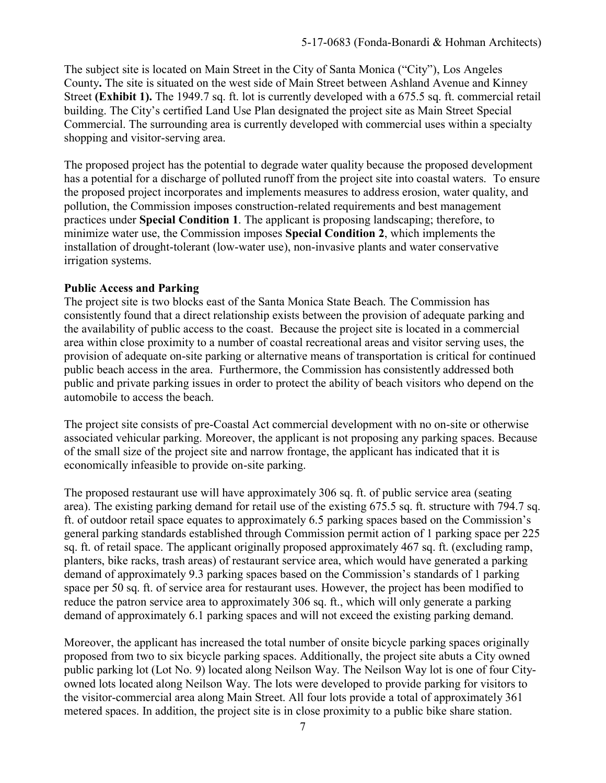The subject site is located on Main Street in the City of Santa Monica ("City"), Los Angeles County**.** The site is situated on the west side of Main Street between Ashland Avenue and Kinney Street **[\(Exhibit 1\).](https://documents.coastal.ca.gov/reports/2018/3/th6a/th6a-3-2018-exhibits.pdf)** The 1949.7 sq. ft. lot is currently developed with a 675.5 sq. ft. commercial retail building. The City's certified Land Use Plan designated the project site as Main Street Special Commercial. The surrounding area is currently developed with commercial uses within a specialty shopping and visitor-serving area.

The proposed project has the potential to degrade water quality because the proposed development has a potential for a discharge of polluted runoff from the project site into coastal waters. To ensure the proposed project incorporates and implements measures to address erosion, water quality, and pollution, the Commission imposes construction-related requirements and best management practices under **Special Condition 1**. The applicant is proposing landscaping; therefore, to minimize water use, the Commission imposes **Special Condition 2**, which implements the installation of drought-tolerant (low-water use), non-invasive plants and water conservative irrigation systems.

#### **Public Access and Parking**

The project site is two blocks east of the Santa Monica State Beach. The Commission has consistently found that a direct relationship exists between the provision of adequate parking and the availability of public access to the coast. Because the project site is located in a commercial area within close proximity to a number of coastal recreational areas and visitor serving uses, the provision of adequate on-site parking or alternative means of transportation is critical for continued public beach access in the area. Furthermore, the Commission has consistently addressed both public and private parking issues in order to protect the ability of beach visitors who depend on the automobile to access the beach.

The project site consists of pre-Coastal Act commercial development with no on-site or otherwise associated vehicular parking. Moreover, the applicant is not proposing any parking spaces. Because of the small size of the project site and narrow frontage, the applicant has indicated that it is economically infeasible to provide on-site parking.

The proposed restaurant use will have approximately 306 sq. ft. of public service area (seating area). The existing parking demand for retail use of the existing 675.5 sq. ft. structure with 794.7 sq. ft. of outdoor retail space equates to approximately 6.5 parking spaces based on the Commission's general parking standards established through Commission permit action of 1 parking space per 225 sq. ft. of retail space. The applicant originally proposed approximately 467 sq. ft. (excluding ramp, planters, bike racks, trash areas) of restaurant service area, which would have generated a parking demand of approximately 9.3 parking spaces based on the Commission's standards of 1 parking space per 50 sq. ft. of service area for restaurant uses. However, the project has been modified to reduce the patron service area to approximately 306 sq. ft., which will only generate a parking demand of approximately 6.1 parking spaces and will not exceed the existing parking demand.

Moreover, the applicant has increased the total number of onsite bicycle parking spaces originally proposed from two to six bicycle parking spaces. Additionally, the project site abuts a City owned public parking lot (Lot No. 9) located along Neilson Way. The Neilson Way lot is one of four Cityowned lots located along Neilson Way. The lots were developed to provide parking for visitors to the visitor-commercial area along Main Street. All four lots provide a total of approximately 361 metered spaces. In addition, the project site is in close proximity to a public bike share station.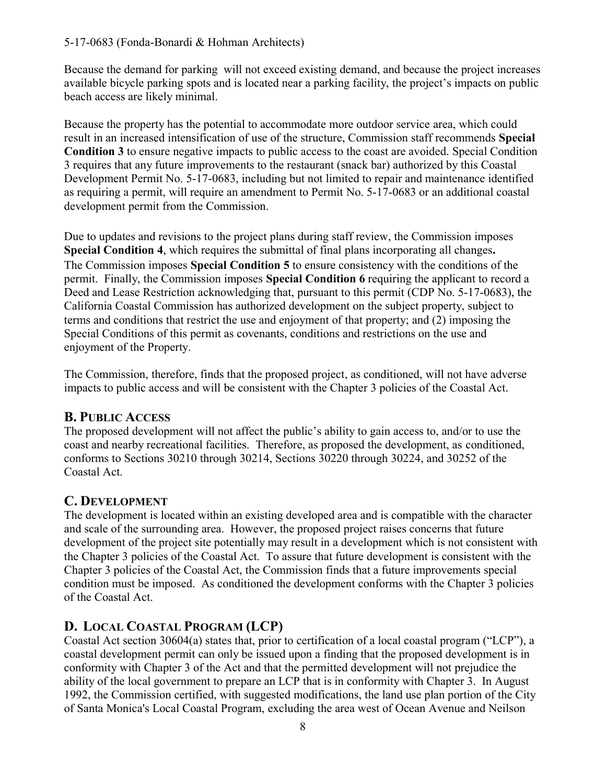Because the demand for parking will not exceed existing demand, and because the project increases available bicycle parking spots and is located near a parking facility, the project's impacts on public beach access are likely minimal.

Because the property has the potential to accommodate more outdoor service area, which could result in an increased intensification of use of the structure, Commission staff recommends **Special Condition 3** to ensure negative impacts to public access to the coast are avoided. Special Condition 3 requires that any future improvements to the restaurant (snack bar) authorized by this Coastal Development Permit No. 5-17-0683, including but not limited to repair and maintenance identified as requiring a permit, will require an amendment to Permit No. 5-17-0683 or an additional coastal development permit from the Commission.

Due to updates and revisions to the project plans during staff review, the Commission imposes **Special Condition 4**, which requires the submittal of final plans incorporating all changes**.**  The Commission imposes **Special Condition 5** to ensure consistency with the conditions of the permit. Finally, the Commission imposes **Special Condition 6** requiring the applicant to record a Deed and Lease Restriction acknowledging that, pursuant to this permit (CDP No. 5-17-0683), the California Coastal Commission has authorized development on the subject property, subject to terms and conditions that restrict the use and enjoyment of that property; and (2) imposing the Special Conditions of this permit as covenants, conditions and restrictions on the use and enjoyment of the Property.

The Commission, therefore, finds that the proposed project, as conditioned, will not have adverse impacts to public access and will be consistent with the Chapter 3 policies of the Coastal Act.

# <span id="page-7-0"></span>**B. PUBLIC ACCESS**

The proposed development will not affect the public's ability to gain access to, and/or to use the coast and nearby recreational facilities. Therefore, as proposed the development, as conditioned, conforms to Sections 30210 through 30214, Sections 30220 through 30224, and 30252 of the Coastal Act.

# <span id="page-7-1"></span>**C. DEVELOPMENT**

The development is located within an existing developed area and is compatible with the character and scale of the surrounding area. However, the proposed project raises concerns that future development of the project site potentially may result in a development which is not consistent with the Chapter 3 policies of the Coastal Act. To assure that future development is consistent with the Chapter 3 policies of the Coastal Act, the Commission finds that a future improvements special condition must be imposed. As conditioned the development conforms with the Chapter 3 policies of the Coastal Act.

# <span id="page-7-2"></span>**D. LOCAL COASTAL PROGRAM (LCP)**

Coastal Act section 30604(a) states that, prior to certification of a local coastal program ("LCP"), a coastal development permit can only be issued upon a finding that the proposed development is in conformity with Chapter 3 of the Act and that the permitted development will not prejudice the ability of the local government to prepare an LCP that is in conformity with Chapter 3. In August 1992, the Commission certified, with suggested modifications, the land use plan portion of the City of Santa Monica's Local Coastal Program, excluding the area west of Ocean Avenue and Neilson